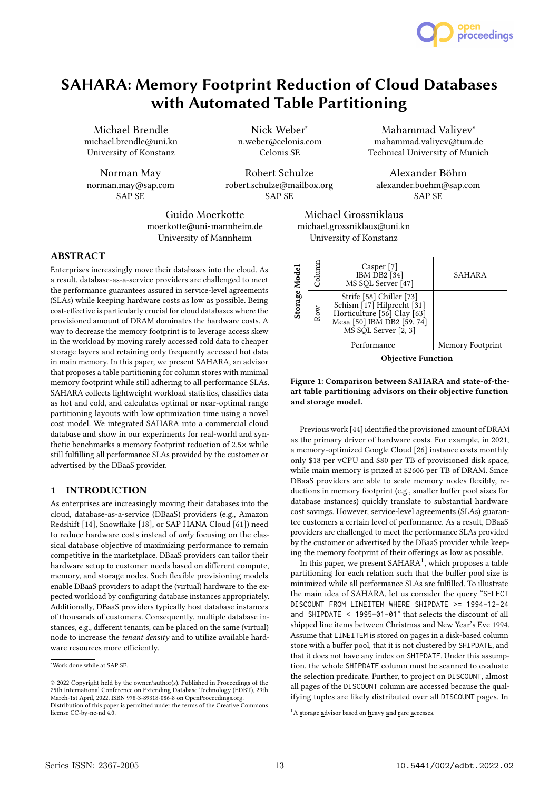

# SAHARA: Memory Footprint Reduction of Cloud Databases with Automated Table Partitioning

Michael Brendle michael.brendle@uni.kn University of Konstanz

Norman May norman.may@sap.com SAP SE

Nick Weber<sup>∗</sup> n.weber@celonis.com Celonis SE

Robert Schulze robert.schulze@mailbox.org SAP SE

Guido Moerkotte moerkotte@uni-mannheim.de University of Mannheim

# ABSTRACT

Enterprises increasingly move their databases into the cloud. As a result, database-as-a-service providers are challenged to meet the performance guarantees assured in service-level agreements (SLAs) while keeping hardware costs as low as possible. Being cost-effective is particularly crucial for cloud databases where the provisioned amount of DRAM dominates the hardware costs. A way to decrease the memory footprint is to leverage access skew in the workload by moving rarely accessed cold data to cheaper storage layers and retaining only frequently accessed hot data in main memory. In this paper, we present SAHARA, an advisor that proposes a table partitioning for column stores with minimal memory footprint while still adhering to all performance SLAs. SAHARA collects lightweight workload statistics, classifies data as hot and cold, and calculates optimal or near-optimal range partitioning layouts with low optimization time using a novel cost model. We integrated SAHARA into a commercial cloud database and show in our experiments for real-world and synthetic benchmarks a memory footprint reduction of 2.5× while still fulfilling all performance SLAs provided by the customer or advertised by the DBaaS provider.

# 1 INTRODUCTION

As enterprises are increasingly moving their databases into the cloud, database-as-a-service (DBaaS) providers (e.g., Amazon Redshift [14], Snowflake [18], or SAP HANA Cloud [61]) need to reduce hardware costs instead of only focusing on the classical database objective of maximizing performance to remain competitive in the marketplace. DBaaS providers can tailor their hardware setup to customer needs based on different compute, memory, and storage nodes. Such flexible provisioning models enable DBaaS providers to adapt the (virtual) hardware to the expected workload by configuring database instances appropriately. Additionally, DBaaS providers typically host database instances of thousands of customers. Consequently, multiple database instances, e.g., different tenants, can be placed on the same (virtual) node to increase the tenant density and to utilize available hardware resources more efficiently.

<sup>∗</sup>Work done while at SAP SE.

Mahammad Valiyev<sup>∗</sup> mahammad.valiyev@tum.de Technical University of Munich

Alexander Böhm alexander.boehm@sap.com SAP SE

Michael Grossniklaus michael.grossniklaus@uni.kn University of Konstanz



## Figure 1: Comparison between SAHARA and state-of-theart table partitioning advisors on their objective function and storage model.

Previous work [44] identified the provisioned amount of DRAM as the primary driver of hardware costs. For example, in 2021, a memory-optimized Google Cloud [26] instance costs monthly only \$18 per vCPU and \$80 per TB of provisioned disk space, while main memory is prized at \$2606 per TB of DRAM. Since DBaaS providers are able to scale memory nodes flexibly, reductions in memory footprint (e.g., smaller buffer pool sizes for database instances) quickly translate to substantial hardware cost savings. However, service-level agreements (SLAs) guarantee customers a certain level of performance. As a result, DBaaS providers are challenged to meet the performance SLAs provided by the customer or advertised by the DBaaS provider while keeping the memory footprint of their offerings as low as possible.

In this paper, we present  $SAHARA<sup>1</sup>$ , which proposes a table partitioning for each relation such that the buffer pool size is minimized while all performance SLAs are fulfilled. To illustrate the main idea of SAHARA, let us consider the query "SELECT DISCOUNT FROM LINEITEM WHERE SHIPDATE >= 1994-12-24 and SHIPDATE < 1995-01-01" that selects the discount of all shipped line items between Christmas and New Year's Eve 1994. Assume that LINEITEM is stored on pages in a disk-based column store with a buffer pool, that it is not clustered by SHIPDATE, and that it does not have any index on SHIPDATE. Under this assumption, the whole SHIPDATE column must be scanned to evaluate the selection predicate. Further, to project on DISCOUNT, almost all pages of the DISCOUNT column are accessed because the qualifying tuples are likely distributed over all DISCOUNT pages. In

<sup>©</sup> 2022 Copyright held by the owner/author(s). Published in Proceedings of the 25th International Conference on Extending Database Technology (EDBT), 29th March-1st April, 2022, ISBN 978-3-89318-086-8 on OpenProceedings.org. Distribution of this paper is permitted under the terms of the Creative Commons license CC-by-nc-nd 4.0.

 $\overline{1_A}$  storage advisor based on heavy and rare accesses.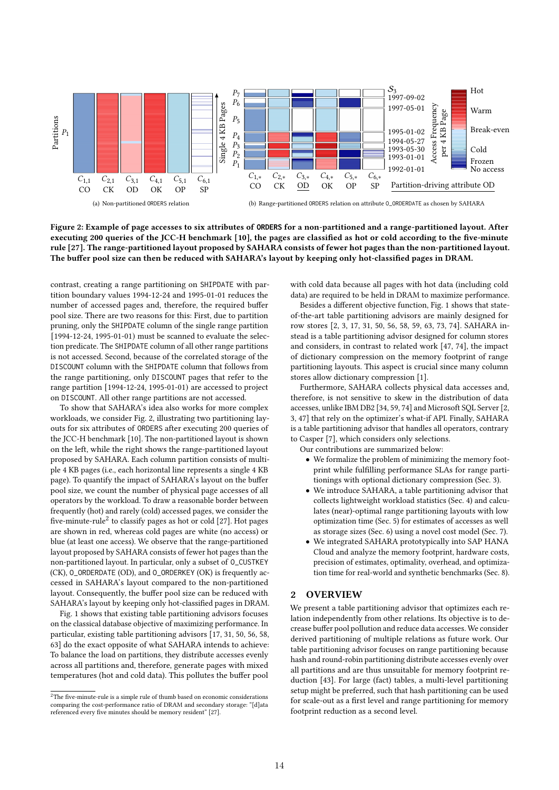

Figure 2: Example of page accesses to six attributes of **ORDERS** for a non-partitioned and a range-partitioned layout. After executing 200 queries of the JCC-H benchmark [10], the pages are classified as hot or cold according to the five-minute rule [27]. The range-partitioned layout proposed by SAHARA consists of fewer hot pages than the non-partitioned layout. The buffer pool size can then be reduced with SAHARA's layout by keeping only hot-classified pages in DRAM.

contrast, creating a range partitioning on SHIPDATE with partition boundary values 1994-12-24 and 1995-01-01 reduces the number of accessed pages and, therefore, the required buffer pool size. There are two reasons for this: First, due to partition pruning, only the SHIPDATE column of the single range partition [1994-12-24, 1995-01-01) must be scanned to evaluate the selection predicate. The SHIPDATE column of all other range partitions is not accessed. Second, because of the correlated storage of the DISCOUNT column with the SHIPDATE column that follows from the range partitioning, only DISCOUNT pages that refer to the range partition [1994-12-24, 1995-01-01) are accessed to project on DISCOUNT. All other range partitions are not accessed.

To show that SAHARA's idea also works for more complex workloads, we consider Fig. 2, illustrating two partitioning layouts for six attributes of ORDERS after executing 200 queries of the JCC-H benchmark [10]. The non-partitioned layout is shown on the left, while the right shows the range-partitioned layout proposed by SAHARA. Each column partition consists of multiple 4 KB pages (i.e., each horizontal line represents a single 4 KB page). To quantify the impact of SAHARA's layout on the buffer pool size, we count the number of physical page accesses of all operators by the workload. To draw a reasonable border between frequently (hot) and rarely (cold) accessed pages, we consider the five-minute-rule<sup>2</sup> to classify pages as hot or cold [27]. Hot pages are shown in red, whereas cold pages are white (no access) or blue (at least one access). We observe that the range-partitioned layout proposed by SAHARA consists of fewer hot pages than the non-partitioned layout. In particular, only a subset of O\_CUSTKEY (CK), O\_ORDERDATE (OD), and O\_ORDERKEY (OK) is frequently accessed in SAHARA's layout compared to the non-partitioned layout. Consequently, the buffer pool size can be reduced with SAHARA's layout by keeping only hot-classified pages in DRAM.

Fig. 1 shows that existing table partitioning advisors focuses on the classical database objective of maximizing performance. In particular, existing table partitioning advisors [17, 31, 50, 56, 58, 63] do the exact opposite of what SAHARA intends to achieve: To balance the load on partitions, they distribute accesses evenly across all partitions and, therefore, generate pages with mixed temperatures (hot and cold data). This pollutes the buffer pool

with cold data because all pages with hot data (including cold data) are required to be held in DRAM to maximize performance.

Besides a different objective function, Fig. 1 shows that stateof-the-art table partitioning advisors are mainly designed for row stores [2, 3, 17, 31, 50, 56, 58, 59, 63, 73, 74]. SAHARA instead is a table partitioning advisor designed for column stores and considers, in contrast to related work [47, 74], the impact of dictionary compression on the memory footprint of range partitioning layouts. This aspect is crucial since many column stores allow dictionary compression [1].

Furthermore, SAHARA collects physical data accesses and, therefore, is not sensitive to skew in the distribution of data accesses, unlike IBM DB2 [34, 59, 74] and Microsoft SQL Server [2, 3, 47] that rely on the optimizer's what-if API. Finally, SAHARA is a table partitioning advisor that handles all operators, contrary to Casper [7], which considers only selections.

Our contributions are summarized below:

- We formalize the problem of minimizing the memory footprint while fulfilling performance SLAs for range partitionings with optional dictionary compression (Sec. 3).
- We introduce SAHARA, a table partitioning advisor that collects lightweight workload statistics (Sec. 4) and calculates (near)-optimal range partitioning layouts with low optimization time (Sec. 5) for estimates of accesses as well as storage sizes (Sec. 6) using a novel cost model (Sec. 7).
- We integrated SAHARA prototypically into SAP HANA Cloud and analyze the memory footprint, hardware costs, precision of estimates, optimality, overhead, and optimization time for real-world and synthetic benchmarks (Sec. 8).

#### 2 OVERVIEW

We present a table partitioning advisor that optimizes each relation independently from other relations. Its objective is to decrease buffer pool pollution and reduce data accesses. We consider derived partitioning of multiple relations as future work. Our table partitioning advisor focuses on range partitioning because hash and round-robin partitioning distribute accesses evenly over all partitions and are thus unsuitable for memory footprint reduction [43]. For large (fact) tables, a multi-level partitioning setup might be preferred, such that hash partitioning can be used for scale-out as a first level and range partitioning for memory footprint reduction as a second level.

 $^2\!$  The five-minute-rule is a simple rule of thumb based on economic considerations comparing the cost-performance ratio of DRAM and secondary storage: "[d]ata referenced every five minutes should be memory resident" [27].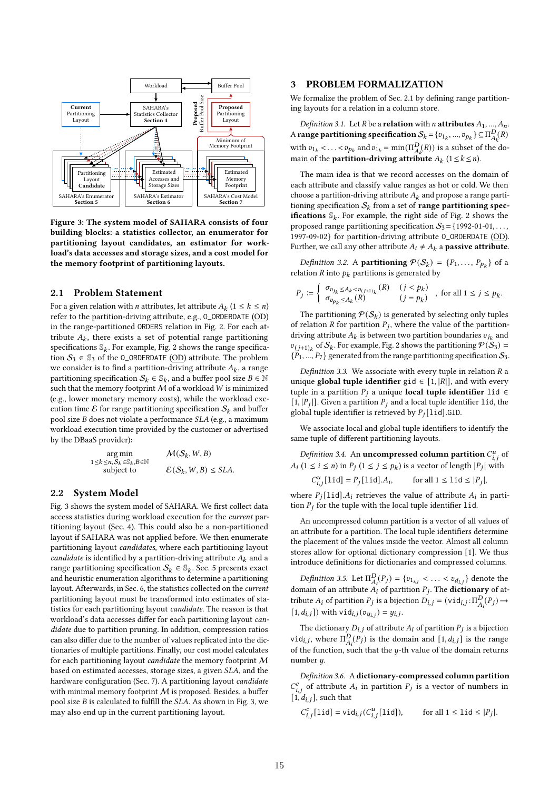

Figure 3: The system model of SAHARA consists of four building blocks: a statistics collector, an enumerator for partitioning layout candidates, an estimator for workload's data accesses and storage sizes, and a cost model for the memory footprint of partitioning layouts.

# 2.1 Problem Statement

For a given relation with *n* attributes, let attribute  $A_k$   $(1 \leq k \leq n)$ refer to the partition-driving attribute, e.g., O\_ORDERDATE (OD) in the range-partitioned ORDERS relation in Fig. 2. For each attribute  $A_k$ , there exists a set of potential range partitioning specifications  $\mathbb{S}_k.$  For example, Fig. 2 shows the range specification  $S_3 \in \mathbb{S}_3$  of the O\_ORDERDATE (OD) attribute. The problem we consider is to find a partition-driving attribute  $\mathcal{A}_k$  , a range partitioning specification  $\mathcal{S}_k \in \mathbb{S}_k$ , and a buffer pool size  $B \in \mathbb{N}$ such that the memory footprint  $M$  of a workload  $W$  is minimized (e.g., lower monetary memory costs), while the workload execution time  $\mathcal E$  for range partitioning specification  $\mathcal S_k$  and buffer pool size  $B$  does not violate a performance  $SLA$  (e.g., a maximum workload execution time provided by the customer or advertised by the DBaaS provider):

$$
\arg\min_{1\leq k\leq n, S_k\in\mathbb{S}_k, B\in\mathbb{N}} \qquad \mathcal{M}(S_k, W, B)
$$
  
\n
$$
\text{subject to} \qquad \mathcal{E}(S_k, W, B) \leq SLA.
$$

### 2.2 System Model

Fig. 3 shows the system model of SAHARA. We first collect data access statistics during workload execution for the current partitioning layout (Sec. 4). This could also be a non-partitioned layout if SAHARA was not applied before. We then enumerate partitioning layout candidates, where each partitioning layout candidate is identified by a partition-driving attribute  $A_k$  and a range partitioning specification  $\mathcal{S}_k \in \mathbb{S}_k$ . Sec. 5 presents exact and heuristic enumeration algorithms to determine a partitioning layout. Afterwards, in Sec. 6, the statistics collected on the current partitioning layout must be transformed into estimates of statistics for each partitioning layout candidate. The reason is that workload's data accesses differ for each partitioning layout candidate due to partition pruning. In addition, compression ratios can also differ due to the number of values replicated into the dictionaries of multiple partitions. Finally, our cost model calculates for each partitioning layout candidate the memory footprint M based on estimated accesses, storage sizes, a given SLA, and the hardware configuration (Sec. 7). A partitioning layout candidate with minimal memory footprint  $M$  is proposed. Besides, a buffer pool size  $B$  is calculated to fulfill the  $SLA$ . As shown in Fig. 3, we may also end up in the current partitioning layout.

#### 3 PROBLEM FORMALIZATION

We formalize the problem of Sec. 2.1 by defining range partitioning layouts for a relation in a column store.

Definition 3.1. Let R be a **relation** with *n* attributes  $A_1, ..., A_n$ . A range partitioning specification  $\mathcal{S}_k = \{v_{1_k}, ..., v_{p_k}\} \subseteq \Pi_{A_k}^D(R)$ with  $v_{1_k} < ... < v_{p_k}$  and  $v_{1_k} = \min(\Pi_{A_k}^D(R))$  is a subset of the domain of the **partition-driving attribute**  $A_k$  ( $1 \le k \le n$ ).

The main idea is that we record accesses on the domain of each attribute and classify value ranges as hot or cold. We then choose a partition-driving attribute  $A_k$  and propose a range partitioning specification  $\mathcal{S}_k$  from a set of range partitioning specifications  $\mathbb{S}_k$ . For example, the right side of Fig. 2 shows the proposed range partitioning specification  $S_3 = \{1992-01-01, \ldots,$ 1997-09-02} for partition-driving attribute O\_ORDERDATE (OD). Further, we call any other attribute  $A_i \neq A_k$  a **passive attribute**.

*Definition 3.2.* A **partitioning**  $\mathcal{P}(S_k) = \{P_1, \ldots, P_{p_k}\}$  of a relation  $R$  into  $p_k$  partitions is generated by

$$
P_j:=\left\{\begin{array}{ll} \sigma_{v_{j_k}\leq A_k
$$

The partitioning  $P(S_k)$  is generated by selecting only tuples of relation  $R$  for partition  $P_j$ , where the value of the partitiondriving attribute  $A_k$  is between two partition boundaries  $\boldsymbol{v}_{j_k}$  and  $v_{(j+1)_k}$  of  $S_k$ . For example, Fig. 2 shows the partitioning  $\mathcal{P}(S_3) =$  $\{P_1, ..., P_7\}$  generated from the range partitioning specification  $\mathcal{S}_3$ .

Definition 3.3. We associate with every tuple in relation  *a* unique global tuple identifier gid  $\in$  [1, |R|], and with every tuple in a partition  $P_i$  a unique **local tuple identifier** lid ∈  $[1,|P_j|].$  Given a partition  $P_j$  and a local tuple identifier  $1$  id, the global tuple identifier is retrieved by  $P_i$ [lid].GID.

We associate local and global tuple identifiers to identify the same tuple of different partitioning layouts.

Definition 3.4. An uncompressed column partition  $C_{i,j}^u$  of  $A_i$  (1  $\leq$  *i*  $\leq$  *n*) in  $P_j$  (1  $\leq$  *j*  $\leq$  *p<sub>k</sub>*) is a vector of length |*P<sub>j</sub>*| with

$$
C_{i,j}^u[\text{lid}] = P_j[\text{lid}].A_i, \qquad \text{for all } 1 \leq \text{lid} \leq |P_j|,
$$

where  $P_j$ [lid]. $A_i$  retrieves the value of attribute  $A_i$  in partition  $P_i$  for the tuple with the local tuple identifier lid.

An uncompressed column partition is a vector of all values of an attribute for a partition. The local tuple identifiers determine the placement of the values inside the vector. Almost all column stores allow for optional dictionary compression [1]. We thus introduce definitions for dictionaries and compressed columns.

Definition 3.5. Let  $\Pi_{A_i}^D(P_j) = \{v_{1_{i,j}} < \ldots < v_{d_{i,j}}\}$  denote the domain of an attribute  $A_i$  of partition  $P_j$ . The **dictionary** of attribute  $A_i$  of partition  $P_j$  is a bijection  $D_{i,j} = (\text{vid}_{i,j} : \Pi_{A_i}^D(P_j) \rightarrow$  $[1, d_{i,j}]$ ) with  $\text{vid}_{i,j}(v_{y_{i,j}}) = y_{i,j}$ .

The dictionary  $D_{i,j}$  of attribute  $A_i$  of partition  $P_j$  is a bijection  $\text{vid}_{i,j}$ , where  $\Pi_{A_i}^D(P_j)$  is the domain and  $[1, d_{i,j}]$  is the range of the function, such that the  $y$ -th value of the domain returns number *.* 

Definition 3.6. Adictionary-compressed column partition  $C_{i,j}^c$  of attribute  $A_i$  in partition  $P_j$  is a vector of numbers in  $[i, d_{i,j}]$ , such that

$$
C_{i,j}^c[1id] = \mathsf{vid}_{i,j}(C_{i,j}^u[1id]), \qquad \text{for all } 1 \leq 1 \text{id} \leq |P_j|.
$$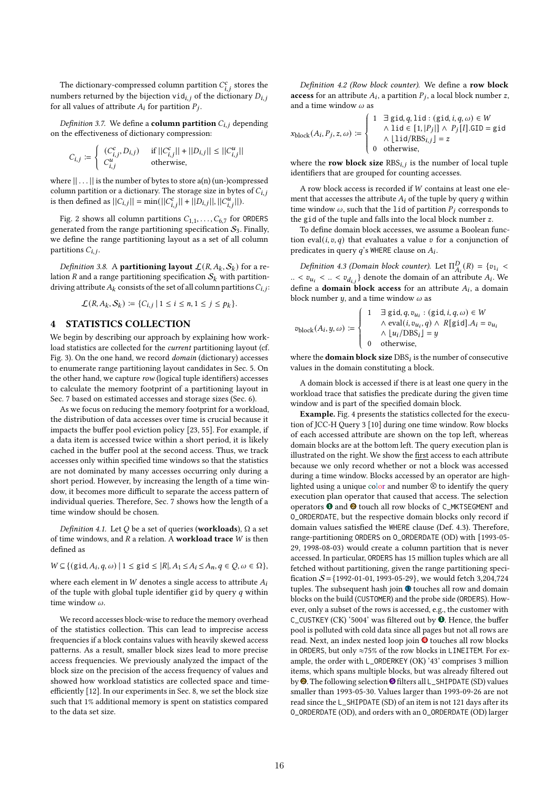The dictionary-compressed column partition  $C_{i,j}^c$  stores the numbers returned by the bijection vid<sub>i,j</sub> of the dictionary  $D_{i,j}$ for all values of attribute  $A_i$  for partition  $P_j$ .

Definition 3.7. We define a **column partition**  $C_{i,i}$  depending on the effectiveness of dictionary compression:

$$
C_{i,j} := \begin{cases} (C_{i,j}^c, D_{i,j}) & \text{if } ||C_{i,j}^c|| + ||D_{i,j}|| \leq ||C_{i,j}^u|| \\ C_{i,j}^u & \text{otherwise,} \end{cases}
$$

where  $|| \dots ||$  is the number of bytes to store a(n) (un-)compressed column partition or a dictionary. The storage size in bytes of  $C_{i,j}$ is then defined as  $||C_{i,j}|| = \min(||C_{i,j}^c|| + ||D_{i,j}||, ||C_{i,j}^u||).$ 

Fig. 2 shows all column partitions  $C_{1,1}, \ldots, C_{6,7}$  for ORDERS generated from the range partitioning specification  $S_3$ . Finally, we define the range partitioning layout as a set of all column partitions  $C_{i,j}$ .

Definition 3.8. A **partitioning layout**  $\mathcal{L}(R, A_k, \mathcal{S}_k)$  for a relation  $R$  and a range partitioning specification  $S_k$  with partitiondriving attribute  $A_k$  consists of the set of all column partitions  $C_{i,j}$ :

$$
\mathcal{L}(R, A_k, \mathcal{S}_k) := \{C_{i,j} \mid 1 \leq i \leq n, 1 \leq j \leq p_k\}.
$$

# 4 STATISTICS COLLECTION

We begin by describing our approach by explaining how workload statistics are collected for the current partitioning layout (cf. Fig. 3). On the one hand, we record domain (dictionary) accesses to enumerate range partitioning layout candidates in Sec. 5. On the other hand, we capture row (logical tuple identifiers) accesses to calculate the memory footprint of a partitioning layout in Sec. 7 based on estimated accesses and storage sizes (Sec. 6).

As we focus on reducing the memory footprint for a workload, the distribution of data accesses over time is crucial because it impacts the buffer pool eviction policy [23, 55]. For example, if a data item is accessed twice within a short period, it is likely cached in the buffer pool at the second access. Thus, we track accesses only within specified time windows so that the statistics are not dominated by many accesses occurring only during a short period. However, by increasing the length of a time window, it becomes more difficult to separate the access pattern of individual queries. Therefore, Sec. 7 shows how the length of a time window should be chosen.

Definition 4.1. Let  $Q$  be a set of queries (workloads),  $\Omega$  a set of time windows, and  $R$  a relation. A **workload trace**  $W$  is then defined as

 $W \subseteq \{ (\text{gid}, A_i, q, \omega) \mid 1 \leq \text{gid} \leq |R|, A_1 \leq A_i \leq A_n, q \in Q, \omega \in \Omega \},$ 

where each element in  $W$  denotes a single access to attribute  $A_i$ of the tuple with global tuple identifier gid by query  $q$  within time window  $\omega$ .

We record accesses block-wise to reduce the memory overhead of the statistics collection. This can lead to imprecise access frequencies if a block contains values with heavily skewed access patterns. As a result, smaller block sizes lead to more precise access frequencies. We previously analyzed the impact of the block size on the precision of the access frequency of values and showed how workload statistics are collected space and timeefficiently [12]. In our experiments in Sec. 8, we set the block size such that 1% additional memory is spent on statistics compared to the data set size.

Definition 4.2 (Row block counter). We define a row block access for an attribute  $A_i$ , a partition  $P_j$ , a local block number z, and a time window  $\omega$  as

$$
x_{\text{block}}(A_i, P_j, z, \omega) := \begin{cases} 1 & \exists \text{ grid}, q, \text{lid} : (\text{gid}, i, q, \omega) \in W \\ \land & \text{lid} \in [1, |P_j|] \land P_j[l].\text{GID} = \text{gid} \\ \land & \text{lid/RBS}_{i,j} = z \\ 0 & \text{otherwise}, \end{cases}
$$

where the **row block size**  $RBS_{i,j}$  is the number of local tuple identifiers that are grouped for counting accesses.

A row block access is recorded if  $W$  contains at least one element that accesses the attribute  $A_i$  of the tuple by query  $q$  within time window  $\omega$ , such that the lid of partition  $P_i$  corresponds to the gid of the tuple and falls into the local block number  $z$ .

To define domain block accesses, we assume a Boolean function eval $(i, v, q)$  that evaluates a value v for a conjunction of predicates in query  $q$ 's WHERE clause on  $A_i$ .

Definition 4.3 (Domain block counter). Let  $\Pi_{A_i}^D(R) = \{v_{1_i}$ .. <  $v_{u_i}$  < .. <  $v_{d_{i,j}}$ } denote the domain of an attribute  $A_i$ . We define a **domain block access** for an attribute  $A_i$ , a domain block number  $y$ , and a time window  $\omega$  as

$$
v_{\text{block}}(A_i, y, \omega) := \begin{cases} 1 & \exists \text{ grid}, q, v_{u_i} : (\text{gid}, i, q, \omega) \in W \\ \wedge \text{eval}(i, v_{u_i}, q) \wedge R[\text{gid}].A_i = v_{u_i} \\ \wedge \lfloor u_i / \text{DBS}_i \rfloor = y \\ 0 & \text{otherwise,} \end{cases}
$$

where the **domain block size**  $DBS_i$  is the number of consecutive values in the domain constituting a block.

A domain block is accessed if there is at least one query in the workload trace that satisfies the predicate during the given time window and is part of the specified domain block.

Example. Fig. 4 presents the statistics collected for the execution of JCC-H Query 3 [10] during one time window. Row blocks of each accessed attribute are shown on the top left, whereas domain blocks are at the bottom left. The query execution plan is illustrated on the right. We show the first access to each attribute because we only record whether or not a block was accessed during a time window. Blocks accessed by an operator are highlighted using a unique color and number  $\circledR$  to identify the query execution plan operator that caused that access. The selection operators  $\mathbf 0$  and  $\mathbf 2$  touch all row blocks of <code>C\_MKTSEGMENT</code> and O\_ORDERDATE, but the respective domain blocks only record if domain values satisfied the WHERE clause (Def. 4.3). Therefore, range-partitioning ORDERS on O\_ORDERDATE (OD) with [1993-05- 29, 1998-08-03) would create a column partition that is never accessed. In particular, ORDERS has 15 million tuples which are all fetched without partitioning, given the range partitioning specification  $S = \{1992-01-01, 1993-05-29\}$ , we would fetch 3,204,724 tuples. The subsequent hash join <sup>3</sup> touches all row and domain blocks on the build (CUSTOMER) and the probe side (ORDERS). However, only a subset of the rows is accessed, e.g., the customer with C\_CUSTKEY (CK) '5004' was filtered out by  $\bullet$ . Hence, the buffer pool is polluted with cold data since all pages but not all rows are read. Next, an index nested loop join 4 touches all row blocks in ORDERS, but only ≈75% of the row blocks in LINEITEM. For example, the order with L\_ORDERKEY (OK) '43' comprises 3 million items, which spans multiple blocks, but was already filtered out by <sup>2</sup>. The following selection <sup>5</sup> filters all L\_SHIPDATE (SD) values smaller than 1993-05-30. Values larger than 1993-09-26 are not read since the L\_SHIPDATE (SD) of an item is not 121 days after its O\_ORDERDATE (OD), and orders with an O\_ORDERDATE (OD) larger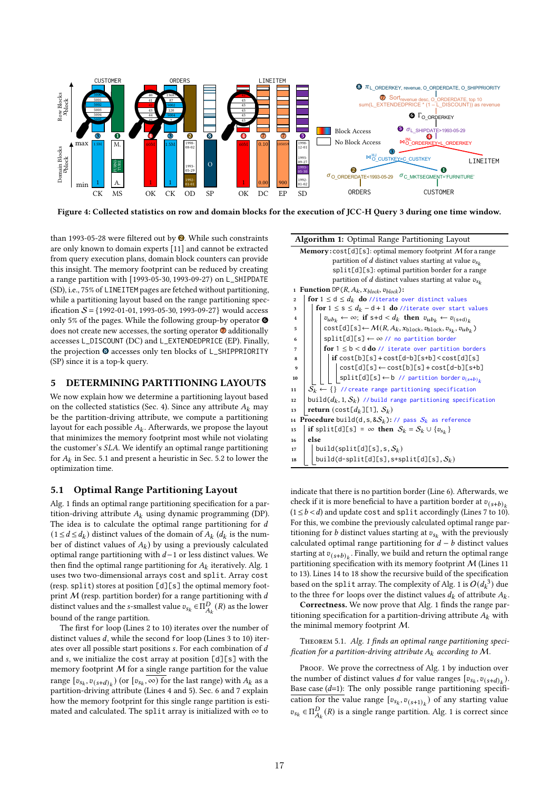

Figure 4: Collected statistics on row and domain blocks for the execution of JCC-H Query 3 during one time window.

than 1993-05-28 were filtered out by  $\bullet$ . While such constraints are only known to domain experts [11] and cannot be extracted from query execution plans, domain block counters can provide this insight. The memory footprint can be reduced by creating a range partition with [1993-05-30, 1993-09-27) on L\_SHIPDATE (SD), i.e., 75% of LINEITEM pages are fetched without partitioning, while a partitioning layout based on the range partitioning specification  $S = \{1992-01-01, 1993-05-30, 1993-09-27\}$  would access only 5% of the pages. While the following group-by operator  $\bullet$ does not create new accesses, the sorting operator  $\Phi$  additionally accesses L\_DISCOUNT (DC) and L\_EXTENDEDPRICE (EP). Finally, the projection  $\odot$  accesses only ten blocks of L\_SHIPPRIORITY (SP) since it is a top-k query.

## 5 DETERMINING PARTITIONING LAYOUTS

We now explain how we determine a partitioning layout based on the collected statistics (Sec. 4). Since any attribute  $A_k$  may be the partition-driving attribute, we compute a partitioning layout for each possible  $A_k$ . Afterwards, we propose the layout that minimizes the memory footprint most while not violating the customer's SLA. We identify an optimal range partitioning for  $A_k$  in Sec. 5.1 and present a heuristic in Sec. 5.2 to lower the optimization time.

## 5.1 Optimal Range Partitioning Layout

Alg. 1 finds an optimal range partitioning specification for a partition-driving attribute  $A_k$  using dynamic programming (DP). The idea is to calculate the optimal range partitioning for  $d$  $(1 \le d \le d_k)$  distinct values of the domain of  $A_k$   $(d_k$  is the number of distinct values of  $A_k$ ) by using a previously calculated optimal range partitioning with  $d-1$  or less distinct values. We then find the optimal range partitioning for  $A_k$  iteratively. Alg. 1 uses two two-dimensional arrays cost and split. Array cost (resp. split) stores at position [d][s] the optimal memory footprint  $M$  (resp. partition border) for a range partitioning with  $d$ distinct values and the s-smallest value  $v_{s_k} \in \Pi_{A_k}^D(R)$  as the lower bound of the range partition.

The first for loop (Lines 2 to 10) iterates over the number of distinct values  $d$ , while the second for loop (Lines 3 to 10) iterates over all possible start positions  $s$ . For each combination of  $d$ and  $s$ , we initialize the cost array at position  $[d][s]$  with the memory footprint  $M$  for a single range partition for the value range  $[v_{s_k}, v_{(s+d)_k})$  (or  $[v_{s_k}, \infty)$  for the last range) with  $A_k$  as a partition-driving attribute (Lines 4 and 5). Sec. 6 and 7 explain how the memory footprint for this single range partition is estimated and calculated. The split array is initialized with  $\infty$  to



indicate that there is no partition border (Line 6). Afterwards, we check if it is more beneficial to have a partition border at  $v_{(s+h)_k}$  $(1 \leq b < d)$  and update cost and split accordingly (Lines 7 to 10). For this, we combine the previously calculated optimal range partitioning for *b* distinct values starting at  $v_{s_k}$  with the previously calculated optimal range partitioning for  $d - b$  distinct values starting at  $v_{(s+b)_k}$ . Finally, we build and return the optimal range partitioning specification with its memory footprint  $M$  (Lines 11 to 13). Lines 14 to 18 show the recursive build of the specification based on the split array. The complexity of Alg. 1 is  $O(d_k^3)$  due to the three for loops over the distinct values  $d_k$  of attribute  $A_k.$ 

Correctness. We now prove that Alg. 1 finds the range partitioning specification for a partition-driving attribute  $A_k$  with the minimal memory footprint M.

Theorem 5.1. Alg. 1 finds an optimal range partitioning specification for a partition-driving attribute  $A_k$  according to M.

PROOF. We prove the correctness of Alg. 1 by induction over the number of distinct values *d* for value ranges  $[v_{s_k}, v_{(s+d)_k}]$ . Base case  $(d=1)$ : The only possible range partitioning specification for the value range  $[v_{s_k}, v_{(s+1)_k})$  of any starting value  $v_{s_k} \in \Pi_{A_k}^D(R)$  is a single range partition. Alg. 1 is correct since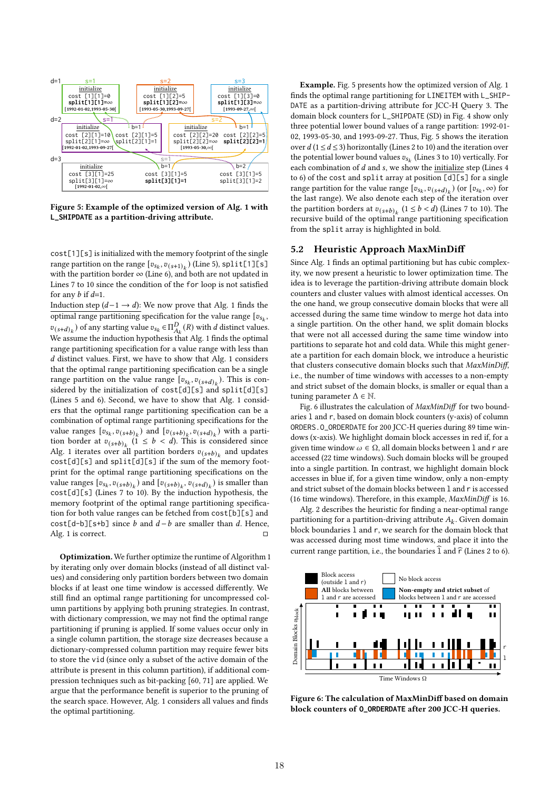

Figure 5: Example of the optimized version of Alg. 1 with **L\_SHIPDATE** as a partition-driving attribute.

cost[1][s] is initialized with the memory footprint of the single range partition on the range  $[v_{s_k}, v_{(s+1)_k})$  (Line 5), split[1][s] with the partition border  $\infty$  (Line 6), and both are not updated in Lines 7 to 10 since the condition of the for loop is not satisfied for any  $b$  if  $d=1$ .

Induction step  $(d-1 \rightarrow d)$ : We now prove that Alg. 1 finds the optimal range partitioning specification for the value range  $[v_{s_k},$  $v_{(s+d)_k}$ ) of any starting value  $v_{s_k} \in \Pi_{A_k}^D(R)$  with  $d$  distinct values. We assume the induction hypothesis that Alg. 1 finds the optimal range partitioning specification for a value range with less than  $d$  distinct values. First, we have to show that Alg. 1 considers that the optimal range partitioning specification can be a single range partition on the value range  $[v_{s_k}, v_{(s+d)_k}]$ . This is considered by the initialization of cost[d][s] and split[d][s] (Lines 5 and 6). Second, we have to show that Alg. 1 considers that the optimal range partitioning specification can be a combination of optimal range partitioning specifications for the value ranges  $[v_{s_k}, v_{(s+b)_k})$  and  $[v_{(s+b)_k}, v_{(s+d)_k})$  with a partition border at  $v_{(s+b)_k}$   $(1 \leq b < d)$ . This is considered since Alg. 1 iterates over all partition borders  $v_{(s+b)_k}$  and updates cost[d][s] and split[d][s] if the sum of the memory footprint for the optimal range partitioning specifications on the value ranges  $[v_{s_k}, v_{(s+b)_k})$  and  $[v_{(s+b)_k}, v_{(s+d)_k})$  is smaller than  $cost[d][s]$  (Lines 7 to 10). By the induction hypothesis, the memory footprint of the optimal range partitioning specification for both value ranges can be fetched from cost[b][s] and cost[d-b][s+b] since *b* and  $d-b$  are smaller than *d*. Hence, Alg. 1 is correct. Alg. 1 is correct.

Optimization. We further optimize the runtime of Algorithm 1 by iterating only over domain blocks (instead of all distinct values) and considering only partition borders between two domain blocks if at least one time window is accessed differently. We still find an optimal range partitioning for uncompressed column partitions by applying both pruning strategies. In contrast, with dictionary compression, we may not find the optimal range partitioning if pruning is applied. If some values occur only in a single column partition, the storage size decreases because a dictionary-compressed column partition may require fewer bits to store the vid (since only a subset of the active domain of the attribute is present in this column partition), if additional compression techniques such as bit-packing [60, 71] are applied. We argue that the performance benefit is superior to the pruning of the search space. However, Alg. 1 considers all values and finds the optimal partitioning.

Example. Fig. 5 presents how the optimized version of Alg. 1 finds the optimal range partitioning for LINEITEM with L\_SHIP-DATE as a partition-driving attribute for JCC-H Query 3. The domain block counters for L\_SHIPDATE (SD) in Fig. 4 show only three potential lower bound values of a range partition: 1992-01- 02, 1993-05-30, and 1993-09-27. Thus, Fig. 5 shows the iteration over  $d$  (1  $\leq$  d  $\leq$  3) horizontally (Lines 2 to 10) and the iteration over the potential lower bound values  $v_{s_{k}}$  (Lines 3 to 10) vertically. For each combination of  $d$  and  $s$ , we show the initialize step (Lines  $4$ to 6) of the cost and split array at position [d][s] for a single range partition for the value range  $[v_{s_k}, v_{(s+d)_k}]$  (or  $[v_{s_k}, \infty)$  for the last range). We also denote each step of the iteration over the partition borders at  $v_{(s+b)_k}$  (1 ≤ *b* < *d*) (Lines 7 to 10). The recursive build of the optimal range partitioning specification from the split array is highlighted in bold.

#### 5.2 Heuristic Approach MaxMinDiff

Since Alg. 1 finds an optimal partitioning but has cubic complexity, we now present a heuristic to lower optimization time. The idea is to leverage the partition-driving attribute domain block counters and cluster values with almost identical accesses. On the one hand, we group consecutive domain blocks that were all accessed during the same time window to merge hot data into a single partition. On the other hand, we split domain blocks that were not all accessed during the same time window into partitions to separate hot and cold data. While this might generate a partition for each domain block, we introduce a heuristic that clusters consecutive domain blocks such that MaxMinDiff, i.e., the number of time windows with accesses to a non-empty and strict subset of the domain blocks, is smaller or equal than a tuning parameter  $\Delta \in \mathbb{N}$ .

Fig. 6 illustrates the calculation of  $MaxMinDiff$  for two boundaries l and r, based on domain block counters (y-axis) of column ORDERS.O\_ORDERDATE for 200 JCC-H queries during 89 time windows (x-axis). We highlight domain block accesses in red if, for a given time window  $\omega \in \Omega$ , all domain blocks between 1 and r are accessed (22 time windows). Such domain blocks will be grouped into a single partition. In contrast, we highlight domain block accesses in blue if, for a given time window, only a non-empty and strict subset of the domain blocks between l and r is accessed (16 time windows). Therefore, in this example, MaxMinDiff is 16.

Alg. 2 describes the heuristic for finding a near-optimal range partitioning for a partition-driving attribute  $A_k.$  Given domain block boundaries l and r, we search for the domain block that was accessed during most time windows, and place it into the current range partition, i.e., the boundaries  $\widehat{I}$  and  $\widehat{r}$  (Lines 2 to 6).



Figure 6: The calculation of MaxMinDiff based on domain block counters of **O\_ORDERDATE** after 200 JCC-H queries.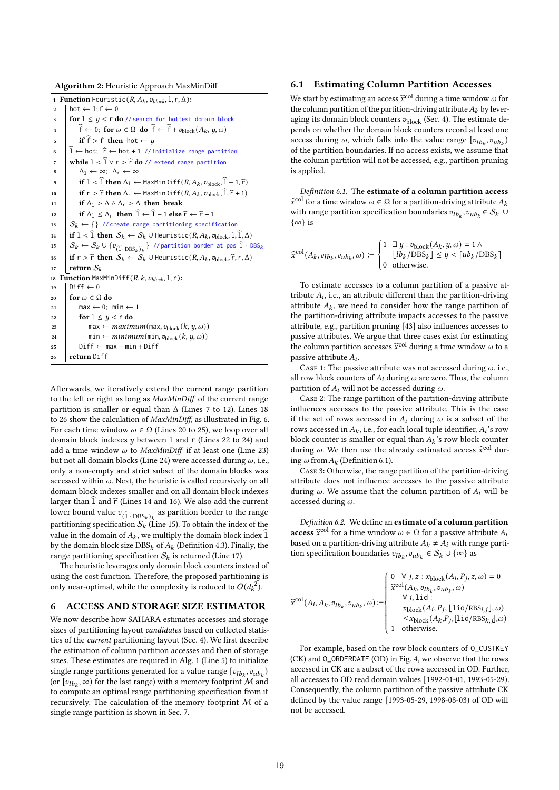#### Algorithm 2: Heuristic Approach MaxMinDiff

```
1 Function Heuristic(R, A_k, v_{block}, 1, r, \Delta):
 2 \mid hot \leftarrow 1; f \leftarrow 03 for 1 \le y < r do // search for hottest domain block<br>4 \left| \begin{array}{c} \hat{f} \in \{0\} \\ \hat{f} \in \{0\} \end{array} \right| for \omega \in \Omega do \hat{f} \in \hat{f} + Theod (Au, u, \omega)\widehat{f} \leftarrow 0; for \omega \in \Omega do \widehat{f} \leftarrow \widehat{f} + v_{\text{block}}(A_k, y, \omega)\mathfrak{s} if \widehat{f} > f then hot \leftarrow u6 \hat{1} ← hot; \hat{r} ← hot + 1 // initialize range partition
 7 while 1 < \hat{1} \vee r > \hat{r} do // extend range partition<br>8 \bigcup_{\Delta 1} \leftarrow \infty: \Delta_r \leftarrow \infty\Delta_1 \leftarrow \infty; \ \Delta_r \leftarrow \infty9 if 1 < \widehat{1} then \Delta_1 \leftarrow MaxMinDiff(R, A_k, v_{block}, \widehat{1} - 1, \widehat{r})10 if r > \hat{r} then \Delta_r \leftarrow MaxMinDiff(R, A_k, v_{block}, \hat{1}, \hat{r} + 1)<br>
11 if \Delta_1 > \Delta \wedge \Delta_r > \Delta then break
                   if \Delta_1 > \Delta \wedge \Delta_r > \Delta then break
12 \left\{\begin{matrix} \text{if } \Delta_1 \leq \Delta_r \text{ then } \widehat{1} \leftarrow \widehat{1} - 1 \text{ else } \widehat{r} \leftarrow \widehat{r} + 1 \\ \text{if } \Delta_k \leftarrow \{ \} \end{matrix}\right\} \right.\mathcal{S}_k^- \leftarrow \{\} // create range partitioning specification
14 if 1 < \hat{1} then S_k \leftarrow S_k \cup Heuristic(R, A_k, v_{block}, 1, \hat{1}, \Delta)
15 \Big\|\ \mathcal{S}_k \leftarrow \mathcal{S}_k \cup \{v_{(\widehat{1}\ \cdot \text{DBS}_k)_k}\} //partition border at pos \widehat{1}\ \cdot \text{DBS}_k16 if r > \hat{r} then S_k \leftarrow \hat{S_k} \cup Heuristic(R, A_k, v_{block}, \hat{r}, r, \Delta)<br>17 return S_kreturn S_k18 Function MaxMinDiff(R, k, v_{block}, l, r):
19 | Diff \leftarrow 020 for \omega \in \Omega do<br>
21 | max \leftarrow 0;
                   \max \leftarrow 0; \text{ min} \leftarrow 122 for 1 \leq y < r do
23 max ← maximum(max, v_{block}(k, y, \omega))<br>
\begin{cases} \n\min_{z \in \text{min} \in \text{min}(\mathfrak{m} | \mathfrak{m}, \mathfrak{m}_{block}(k, y, \omega)) \\ \n\min_{z \in \text{min}(\mathfrak{m} | \mathfrak{m}, \mathfrak{m}_{label}(k, y, \omega))} \n\end{cases}24 min ← minimum(min, v_{block}(k, y, \omega))<br>25 Diff ← max – min + Diff
                  25 Diff ← max − min + Diff
26 return Diff
```
Afterwards, we iteratively extend the current range partition to the left or right as long as MaxMinDiff of the current range partition is smaller or equal than  $\Delta$  (Lines 7 to 12). Lines 18 to 26 show the calculation of MaxMinDiff, as illustrated in Fig. 6. For each time window  $\omega \in \Omega$  (Lines 20 to 25), we loop over all domain block indexes  $u$  between 1 and  $r$  (Lines 22 to 24) and add a time window  $\omega$  to *MaxMinDiff* if at least one (Line 23) but not all domain blocks (Line 24) were accessed during  $\omega$ , i.e., only a non-empty and strict subset of the domain blocks was accessed within  $\omega$ . Next, the heuristic is called recursively on all domain block indexes smaller and on all domain block indexes larger than  $\widehat{\mathbf{I}}$  and  $\widehat{\mathbf{r}}$  (Lines 14 and 16). We also add the current lower bound value  $v_{(\tilde{1} \cdot DBS_k)_k}$  as partition border to the range partitioning specification  $S_k$  (Line 15). To obtain the index of the value in the domain of  $A_k$ , we multiply the domain block index  $\overline{1}$ by the domain block size  $\mathrm{DBS}_k$  of  $A_k$  (Definition 4.3). Finally, the range partitioning specification  $\mathcal{S}_k$  is returned (Line 17).

The heuristic leverages only domain block counters instead of using the cost function. Therefore, the proposed partitioning is only near-optimal, while the complexity is reduced to  $O(d_k^2)$ .

## 6 ACCESS AND STORAGE SIZE ESTIMATOR

We now describe how SAHARA estimates accesses and storage sizes of partitioning layout candidates based on collected statistics of the current partitioning layout (Sec. 4). We first describe the estimation of column partition accesses and then of storage sizes. These estimates are required in Alg. 1 (Line 5) to initialize single range partitions generated for a value range  $[v_{lb_k}, v_{ub_k})$ (or  $[v_{lb_k}, \infty)$  for the last range) with a memory footprint  $\mathcal M$  and to compute an optimal range partitioning specification from it recursively. The calculation of the memory footprint M of a single range partition is shown in Sec. 7.

# 6.1 Estimating Column Partition Accesses

We start by estimating an access  $\hat{x}^{\text{col}}$  during a time window  $\omega$  for the column partition of the partition-driving attribute  $A_k$  by leveraging its domain block counters  $v_{\text{block}}$  (Sec. 4). The estimate depends on whether the domain block counters record at least one access during  $\omega,$  which falls into the value range  $[v_{lb_k}, v_{ub_k})$ of the partition boundaries. If no access exists, we assume that the column partition will not be accessed, e.g., partition pruning is applied.

Definition 6.1. The estimate of a column partition access  $\widehat{x}^{\text{col}}$  for a time window  $\omega \in \Omega$  for a partition-driving attribute  $A_k$ with range partition specification boundaries  $v_{lb_k}, v_{ub_k} \in \mathcal{S}_k \ \cup$ {∞} is

$$
\widehat{x}^{\text{col}}(A_k, v_{lb_k}, v_{ub_k}, \omega) := \begin{cases} 1 & \exists y : v_{\text{block}}(A_k, y, \omega) = 1 \land \\ \lfloor lb_k / \text{DBS}_k \rfloor \le y < \lceil ub_k / \text{DBS}_k \rceil \\ 0 & \text{otherwise.} \end{cases}
$$

To estimate accesses to a column partition of a passive attribute  $A_i$ , i.e., an attribute different than the partition-driving attribute  $A_k$ , we need to consider how the range partition of the partition-driving attribute impacts accesses to the passive attribute, e.g., partition pruning [43] also influences accesses to passive attributes. We argue that three cases exist for estimating the column partition accesses  $\widehat{x}^{\text{col}}$  during a time window  $\omega$  to a passive attribute  $A_i$ .

CASE 1: The passive attribute was not accessed during  $\omega$ , i.e., all row block counters of  $A_i$  during  $\omega$  are zero. Thus, the column partition of  $A_i$  will not be accessed during  $\omega$ .

Case 2: The range partition of the partition-driving attribute influences accesses to the passive attribute. This is the case if the set of rows accessed in  $A_i$  during  $\omega$  is a subset of the rows accessed in  $A_k$  , i.e., for each local tuple identifier,  $A_i$  's row block counter is smaller or equal than  $A_k$ 's row block counter during  $\omega$ . We then use the already estimated access  $\hat{x}^{\text{col}}$  during  $\omega$  from  $A_k$  (Definition 6.1).

Case 3: Otherwise, the range partition of the partition-driving attribute does not influence accesses to the passive attribute during  $\omega$ . We assume that the column partition of  $A_i$  will be accessed during  $\omega$ .

Definition 6.2. We define an estimate of a column partition **access**  $\widehat{x}^{\text{col}}$  for a time window  $ω ∈ Ω$  for a passive attribute A based on a partition-driving attribute  $A_k \neq A_i$  with range partition specification boundaries  $v_{lb_k}, v_{ub_k} \in S_k \cup \{\infty\}$  as

$$
\widehat{x}^{\text{col}}(A_i, A_k, v_{lb_k}, v_{ub_k}, \omega) := \begin{cases}\n0 \quad \forall j, z : x_{\text{block}}(A_i, P_j, z, \omega) = 0 \\
\widehat{x}^{\text{col}}(A_k, v_{lb_k}, v_{ub_k}, \omega) \\
\forall j, \text{lid} : \\
x_{\text{block}}(A_i, P_j, \lfloor \text{lid/RBS}_{i,j} \rfloor, \omega) \\
\leq x_{\text{block}}(A_k, P_j, \lfloor \text{lid/RBS}_{k,j} \rfloor, \omega) \\
1 \quad \text{otherwise.} \n\end{cases}
$$

For example, based on the row block counters of O\_CUSTKEY (CK) and O\_ORDERDATE (OD) in Fig. 4, we observe that the rows accessed in CK are a subset of the rows accessed in OD. Further, all accesses to OD read domain values [1992-01-01, 1993-05-29). Consequently, the column partition of the passive attribute CK defined by the value range [1993-05-29, 1998-08-03) of OD will not be accessed.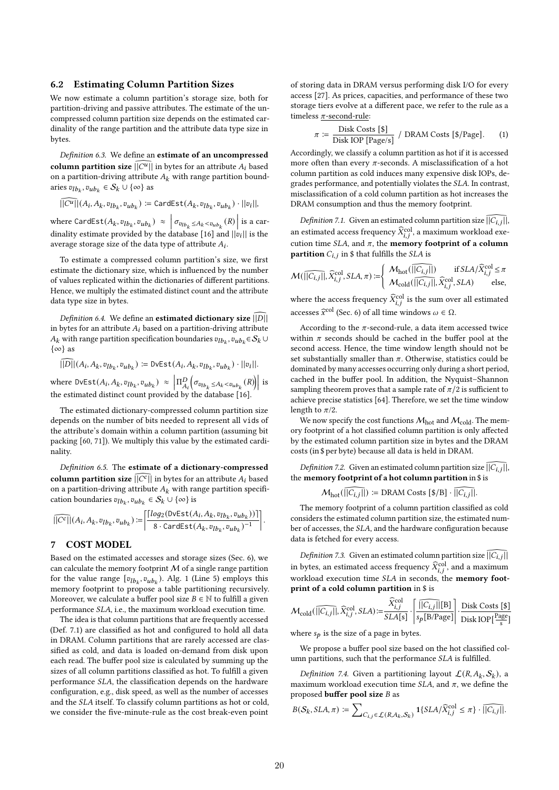#### 6.2 Estimating Column Partition Sizes

We now estimate a column partition's storage size, both for partition-driving and passive attributes. The estimate of the uncompressed column partition size depends on the estimated cardinality of the range partition and the attribute data type size in bytes.

Definition 6.3. We define an estimate of an uncompressed column partition size  $\widehat{||C^u||}$  in bytes for an attribute  $A_i$  based on a partition-driving attribute  ${\cal A}_k$  with range partition boundaries  $v_{lb_k}, v_{ub_k} \in S_k \cup {\infty}$  as

$$
\widetilde{\|C^u\|}(A_i, A_k, v_{lb_k}, v_{ub_k}) \coloneqq \text{CardEst}(A_k, v_{lb_k}, v_{ub_k}) \cdot ||v_i||,
$$

where CardEst $(A_k, v_{lb_k}, v_{ub_k}) \approx$  $\left| \sigma_{v_{lb_k} \leq A_k < v_{ub_k}}(R) \right|$  is a cardinality estimate provided by the database [16] and  $||v_i||$  is the average storage size of the data type of attribute  $A_i$ .

To estimate a compressed column partition's size, we first estimate the dictionary size, which is influenced by the number of values replicated within the dictionaries of different partitions. Hence, we multiply the estimated distinct count and the attribute data type size in bytes.

Definition 6.4. We define an estimated dictionary size  $||D||$ in bytes for an attribute  $A_i$  based on a partition-driving attribute  $A_k$  with range partition specification boundaries  $v_{lb_k}, v_{ub_k} \in \mathcal{S}_k$   $\cup$  $\{\infty\}$  as

$$
||D||(A_i, A_k, v_{lb_k}, v_{ub_k}) := \text{DvEst}(A_i, A_k, v_{lb_k}, v_{ub_k}) \cdot ||v_i||.
$$

where  $DvEst(A_i, A_k, v_{lb_k}, v_{ub_k}) \approx$  $\left| \Pi_{A_i}^D \right|$  $\left(\sigma_{v_{lb_k} \leq A_k < v_{ub_k}}(R)\right)$  is the estimated distinct count provided by the database [16].

The estimated dictionary-compressed column partition size depends on the number of bits needed to represent all vids of the attribute's domain within a column partition (assuming bit packing [60, 71]). We multiply this value by the estimated cardinality.

Definition 6.5. The estimate of a dictionary-compressed **column partition size**  $\widehat{||C^c||}$  in bytes for an attribute  $A_i$  based on a partition-driving attribute  $A_k$  with range partition specification boundaries  $v_{lb_k}, v_{ub_k} \in S_k \cup {\infty}$  is

$$
\widehat{\left|\left|C^c\right|\right|}(A_i, A_k, v_{lb_k}, v_{ub_k}) := \left|\frac{\left\lceil log_2(\textsf{DVEst}(A_i, A_k, v_{lb_k}, v_{ub_k}))\right\rceil}{8 \cdot \textsf{CardEst}(A_k, v_{lb_k}, v_{ub_k})^{-1}}\right|.
$$

# 7 COST MODEL

Based on the estimated accesses and storage sizes (Sec. 6), we can calculate the memory footprint  $M$  of a single range partition for the value range  $[v_{lb_k}, v_{ub_k})$ . Alg. 1 (Line 5) employs this memory footprint to propose a table partitioning recursively. Moreover, we calculate a buffer pool size  $B \in \mathbb{N}$  to fulfill a given performance SLA, i.e., the maximum workload execution time.

The idea is that column partitions that are frequently accessed (Def. 7.1) are classified as hot and configured to hold all data in DRAM. Column partitions that are rarely accessed are classified as cold, and data is loaded on-demand from disk upon each read. The buffer pool size is calculated by summing up the sizes of all column partitions classified as hot. To fulfill a given performance SLA, the classification depends on the hardware configuration, e.g., disk speed, as well as the number of accesses and the SLA itself. To classify column partitions as hot or cold, we consider the five-minute-rule as the cost break-even point

of storing data in DRAM versus performing disk I/O for every access [27]. As prices, capacities, and performance of these two storage tiers evolve at a different pace, we refer to the rule as a timeless  $\pi$ -second-rule:

$$
\pi \coloneqq \frac{\text{Disk Costs [$\$]} }{\text{Disk TOP [Page/s]}} / \text{ DRAM Costs [$\}/\text{Page}]. \tag{1}
$$

Accordingly, we classify a column partition as hot if it is accessed more often than every  $\pi$ -seconds. A misclassification of a hot column partition as cold induces many expensive disk IOPs, degrades performance, and potentially violates the SLA. In contrast, misclassification of a cold column partition as hot increases the DRAM consumption and thus the memory footprint.

Definition 7.1. Given an estimated column partition size  $\widehat{||C_{i,j}||}$ , an estimated access frequency  $\widehat{X}_{i,j}^{\mathrm{col}},$  a maximum workload execution time SLA, and  $\pi$ , the memory footprint of a column **partition**  $C_{i,j}$  in \$ that fulfills the *SLA* is

$$
\mathcal{M}(\widehat{||C_{i,j}||}, \widehat{X}_{i,j}^{\mathrm{col}}, SLA, \pi) := \left\{ \begin{array}{ll} \mathcal{M}_{\mathrm{hot}}(\widehat{||C_{i,j}||}) & \text{if } SLA/\widehat{X}_{i,j}^{\mathrm{col}} \leq \pi \\ \mathcal{M}_{\mathrm{cold}}(\widehat{||C_{i,j}||}, \widehat{X}_{i,j}^{\mathrm{col}}, SLA) & \text{else,} \end{array} \right.
$$

where the access frequency  $\widehat{X}_{i,j}^{\operatorname{col}}$  is the sum over all estimated accesses  $\widehat{x}^{\text{col}}$  (Sec. 6) of all time windows  $\omega \in \Omega$ .

According to the  $\pi$ -second-rule, a data item accessed twice within  $\pi$  seconds should be cached in the buffer pool at the second access. Hence, the time window length should not be set substantially smaller than  $\pi$ . Otherwise, statistics could be dominated by many accesses occurring only during a short period, cached in the buffer pool. In addition, the Nyquist–Shannon sampling theorem proves that a sample rate of  $\pi/2$  is sufficient to achieve precise statistics [64]. Therefore, we set the time window length to  $\pi/2$ .

We now specify the cost functions  $M_{\rm hot}$  and  $M_{\rm cold}$ . The memory footprint of a hot classified column partition is only affected by the estimated column partition size in bytes and the DRAM costs (in \$ per byte) because all data is held in DRAM.

Definition 7.2. Given an estimated column partition size  $\widehat{\left|C_{i,i}\right|}$ , the memory footprint of a hot column partition in \$ is

$$
\mathcal{M}_{\text{hot}}(\overline{||C_{i,j}||}) \coloneqq \text{DRAM Costs } [\$/B] \cdot \overline{||C_{i,j}||}.
$$

The memory footprint of a column partition classified as cold considers the estimated column partition size, the estimated number of accesses, the SLA, and the hardware configuration because data is fetched for every access.

*Definition 7.3.* Given an estimated column partition size  $\overline{||C_{i,j}||}$ in bytes, an estimated access frequency  $\widehat{X}_{i,j}^{\mathrm{col}},$  and a maximum workload execution time SLA in seconds, the memory footprint of a cold column partition in \$ is

$$
\mathcal{M}_{\text{cold}}(\widehat{||C_{i,j}||}, \widehat{X}_{i,j}^{\text{col}}, SLA) \coloneqq \frac{\widehat{X}_{i,j}^{\text{col}}}{SLA[s]} \cdot \left| \frac{\widehat{||C_{i,j}||}[B]}{s_p[B/Page]} \right| \cdot \frac{\text{Disk Costs [\$}]}{\text{Disk TOP}[\frac{Page}{s}]}
$$

where  $s_p$  is the size of a page in bytes.

We propose a buffer pool size based on the hot classified column partitions, such that the performance  $SLA$  is fulfilled.

Definition 7.4. Given a partitioning layout  $\mathcal{L}(R, A_k, \mathcal{S}_k)$ , a maximum workload execution time  $SLA$ , and  $\pi$ , we define the proposed **buffer pool size**  $B$  as

$$
B(S_k,SLA,\pi) := \sum\nolimits_{C_{i,j}\in\mathcal{L}(R,A_k,S_k)} 1\{SLA/\widehat{X}_{i,j}^{\text{col}} \leq \pi\} \cdot \widehat{||C_{i,j}||}.
$$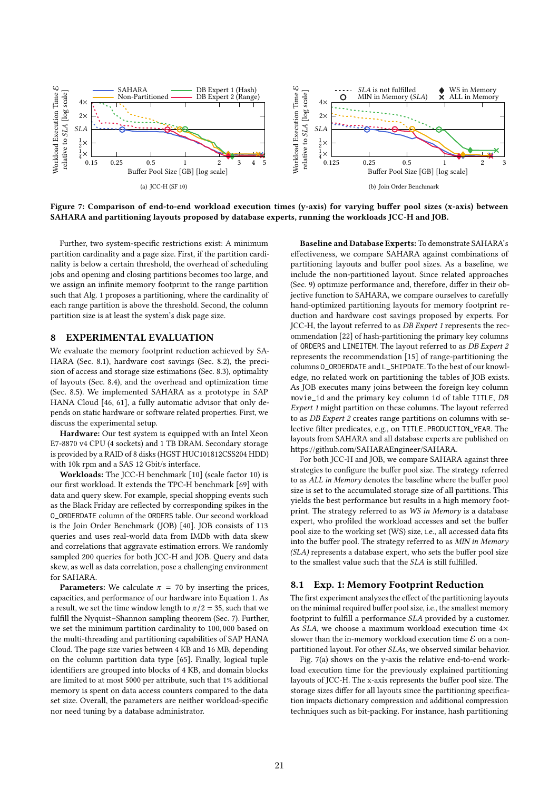

Figure 7: Comparison of end-to-end workload execution times (y-axis) for varying buffer pool sizes (x-axis) between SAHARA and partitioning layouts proposed by database experts, running the workloads JCC-H and JOB.

Further, two system-specific restrictions exist: A minimum partition cardinality and a page size. First, if the partition cardinality is below a certain threshold, the overhead of scheduling jobs and opening and closing partitions becomes too large, and we assign an infinite memory footprint to the range partition such that Alg. 1 proposes a partitioning, where the cardinality of each range partition is above the threshold. Second, the column partition size is at least the system's disk page size.

# 8 EXPERIMENTAL EVALUATION

We evaluate the memory footprint reduction achieved by SA-HARA (Sec. 8.1), hardware cost savings (Sec. 8.2), the precision of access and storage size estimations (Sec. 8.3), optimality of layouts (Sec. 8.4), and the overhead and optimization time (Sec. 8.5). We implemented SAHARA as a prototype in SAP HANA Cloud [46, 61], a fully automatic advisor that only depends on static hardware or software related properties. First, we discuss the experimental setup.

Hardware: Our test system is equipped with an Intel Xeon E7-8870 v4 CPU (4 sockets) and 1 TB DRAM. Secondary storage is provided by a RAID of 8 disks (HGST HUC101812CSS204 HDD) with 10k rpm and a SAS 12 Gbit/s interface.

Workloads: The JCC-H benchmark [10] (scale factor 10) is our first workload. It extends the TPC-H benchmark [69] with data and query skew. For example, special shopping events such as the Black Friday are reflected by corresponding spikes in the O\_ORDERDATE column of the ORDERS table. Our second workload is the Join Order Benchmark (JOB) [40]. JOB consists of 113 queries and uses real-world data from IMDb with data skew and correlations that aggravate estimation errors. We randomly sampled 200 queries for both JCC-H and JOB. Query and data skew, as well as data correlation, pose a challenging environment for SAHARA.

**Parameters:** We calculate  $\pi = 70$  by inserting the prices, capacities, and performance of our hardware into Equation 1. As a result, we set the time window length to  $\pi/2 = 35$ , such that we fulfill the Nyquist–Shannon sampling theorem (Sec. 7). Further, we set the minimum partition cardinality to 100, 000 based on the multi-threading and partitioning capabilities of SAP HANA Cloud. The page size varies between 4 KB and 16 MB, depending on the column partition data type [65]. Finally, logical tuple identifiers are grouped into blocks of 4 KB, and domain blocks are limited to at most 5000 per attribute, such that 1% additional memory is spent on data access counters compared to the data set size. Overall, the parameters are neither workload-specific nor need tuning by a database administrator.

Baseline and Database Experts: To demonstrate SAHARA's effectiveness, we compare SAHARA against combinations of partitioning layouts and buffer pool sizes. As a baseline, we include the non-partitioned layout. Since related approaches (Sec. 9) optimize performance and, therefore, differ in their objective function to SAHARA, we compare ourselves to carefully hand-optimized partitioning layouts for memory footprint reduction and hardware cost savings proposed by experts. For JCC-H, the layout referred to as DB Expert 1 represents the recommendation [22] of hash-partitioning the primary key columns of ORDERS and LINEITEM. The layout referred to as DB Expert 2 represents the recommendation [15] of range-partitioning the columns O\_ORDERDATE and L\_SHIPDATE. To the best of our knowledge, no related work on partitioning the tables of JOB exists. As JOB executes many joins between the foreign key column movie\_id and the primary key column id of table TITLE, DB Expert 1 might partition on these columns. The layout referred to as DB Expert 2 creates range partitions on columns with selective filter predicates, e.g., on TITLE.PRODUCTION\_YEAR. The layouts from SAHARA and all database experts are published on https://github.com/SAHARAEngineer/SAHARA.

For both JCC-H and JOB, we compare SAHARA against three strategies to configure the buffer pool size. The strategy referred to as ALL in Memory denotes the baseline where the buffer pool size is set to the accumulated storage size of all partitions. This yields the best performance but results in a high memory footprint. The strategy referred to as WS in Memory is a database expert, who profiled the workload accesses and set the buffer pool size to the working set (WS) size, i.e., all accessed data fits into the buffer pool. The strategy referred to as MIN in Memory (SLA) represents a database expert, who sets the buffer pool size to the smallest value such that the  $SLA$  is still fulfilled.

# 8.1 Exp. 1: Memory Footprint Reduction

The first experiment analyzes the effect of the partitioning layouts on the minimal required buffer pool size, i.e., the smallest memory footprint to fulfill a performance SLA provided by a customer. As SLA, we choose a maximum workload execution time 4× slower than the in-memory workload execution time  $\mathcal E$  on a nonpartitioned layout. For other SLAs, we observed similar behavior.

Fig. 7(a) shows on the y-axis the relative end-to-end workload execution time for the previously explained partitioning layouts of JCC-H. The x-axis represents the buffer pool size. The storage sizes differ for all layouts since the partitioning specification impacts dictionary compression and additional compression techniques such as bit-packing. For instance, hash partitioning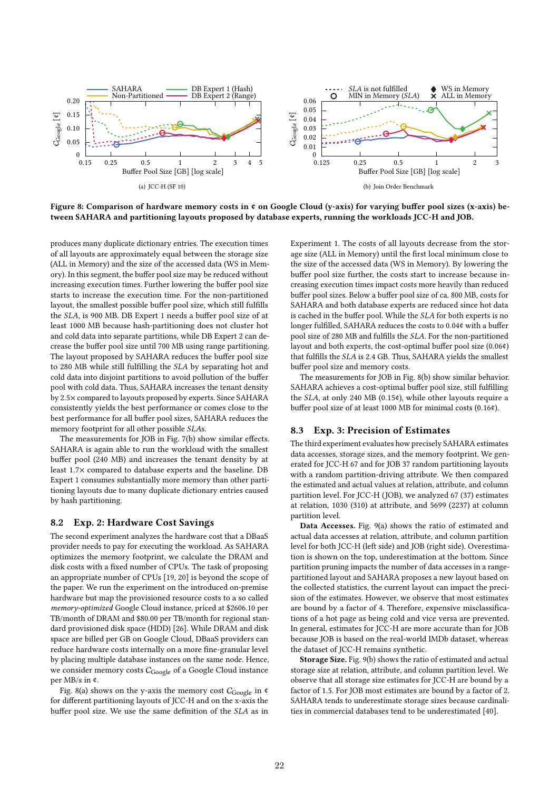

Figure 8: Comparison of hardware memory costs in ¢ on Google Cloud (y-axis) for varying buffer pool sizes (x-axis) between SAHARA and partitioning layouts proposed by database experts, running the workloads JCC-H and JOB.

produces many duplicate dictionary entries. The execution times of all layouts are approximately equal between the storage size (ALL in Memory) and the size of the accessed data (WS in Memory). In this segment, the buffer pool size may be reduced without increasing execution times. Further lowering the buffer pool size starts to increase the execution time. For the non-partitioned layout, the smallest possible buffer pool size, which still fulfills the SLA, is 900 MB. DB Expert 1 needs a buffer pool size of at least 1000 MB because hash-partitioning does not cluster hot and cold data into separate partitions, while DB Expert 2 can decrease the buffer pool size until 700 MB using range partitioning. The layout proposed by SAHARA reduces the buffer pool size to 280 MB while still fulfilling the SLA by separating hot and cold data into disjoint partitions to avoid pollution of the buffer pool with cold data. Thus, SAHARA increases the tenant density by 2.5× compared to layouts proposed by experts. Since SAHARA consistently yields the best performance or comes close to the best performance for all buffer pool sizes, SAHARA reduces the memory footprint for all other possible SLAs.

The measurements for JOB in Fig. 7(b) show similar effects. SAHARA is again able to run the workload with the smallest buffer pool (240 MB) and increases the tenant density by at least 1.7× compared to database experts and the baseline. DB Expert 1 consumes substantially more memory than other partitioning layouts due to many duplicate dictionary entries caused by hash partitioning.

## 8.2 Exp. 2: Hardware Cost Savings

The second experiment analyzes the hardware cost that a DBaaS provider needs to pay for executing the workload. As SAHARA optimizes the memory footprint, we calculate the DRAM and disk costs with a fixed number of CPUs. The task of proposing an appropriate number of CPUs [19, 20] is beyond the scope of the paper. We run the experiment on the introduced on-premise hardware but map the provisioned resource costs to a so called memory-optimized Google Cloud instance, priced at \$2606.10 per TB/month of DRAM and \$80.00 per TB/month for regional standard provisioned disk space (HDD) [26]. While DRAM and disk space are billed per GB on Google Cloud, DBaaS providers can reduce hardware costs internally on a more fine-granular level by placing multiple database instances on the same node. Hence, we consider memory costs  $C_{\text{Google}}$  of a Google Cloud instance per MB/s in ¢.

Fig. 8(a) shows on the y-axis the memory cost  $C_{\text{Google}}$  in ¢ for different partitioning layouts of JCC-H and on the x-axis the buffer pool size. We use the same definition of the SLA as in Experiment 1. The costs of all layouts decrease from the storage size (ALL in Memory) until the first local minimum close to the size of the accessed data (WS in Memory). By lowering the buffer pool size further, the costs start to increase because increasing execution times impact costs more heavily than reduced buffer pool sizes. Below a buffer pool size of ca. 800 MB, costs for SAHARA and both database experts are reduced since hot data is cached in the buffer pool. While the *SLA* for both experts is no longer fulfilled, SAHARA reduces the costs to 0.04¢ with a buffer pool size of 280 MB and fulfills the SLA. For the non-partitioned layout and both experts, the cost-optimal buffer pool size (0.06¢) that fulfills the SLA is 2.4 GB. Thus, SAHARA yields the smallest buffer pool size and memory costs.

The measurements for JOB in Fig. 8(b) show similar behavior. SAHARA achieves a cost-optimal buffer pool size, still fulfilling the  $SLA$ , at only 240 MB (0.15 $\hat{\mathfrak{e}}$ ), while other layouts require a buffer pool size of at least 1000 MB for minimal costs (0.16¢).

# 8.3 Exp. 3: Precision of Estimates

The third experiment evaluates how precisely SAHARA estimates data accesses, storage sizes, and the memory footprint. We generated for JCC-H 67 and for JOB 37 random partitioning layouts with a random partition-driving attribute. We then compared the estimated and actual values at relation, attribute, and column partition level. For JCC-H (JOB), we analyzed 67 (37) estimates at relation, 1030 (310) at attribute, and 5699 (2237) at column partition level.

Data Accesses. Fig. 9(a) shows the ratio of estimated and actual data accesses at relation, attribute, and column partition level for both JCC-H (left side) and JOB (right side). Overestimation is shown on the top, underestimation at the bottom. Since partition pruning impacts the number of data accesses in a rangepartitioned layout and SAHARA proposes a new layout based on the collected statistics, the current layout can impact the precision of the estimates. However, we observe that most estimates are bound by a factor of 4. Therefore, expensive misclassifications of a hot page as being cold and vice versa are prevented. In general, estimates for JCC-H are more accurate than for JOB because JOB is based on the real-world IMDb dataset, whereas the dataset of JCC-H remains synthetic.

Storage Size. Fig. 9(b) shows the ratio of estimated and actual storage size at relation, attribute, and column partition level. We observe that all storage size estimates for JCC-H are bound by a factor of 1.5. For JOB most estimates are bound by a factor of 2. SAHARA tends to underestimate storage sizes because cardinalities in commercial databases tend to be underestimated [40].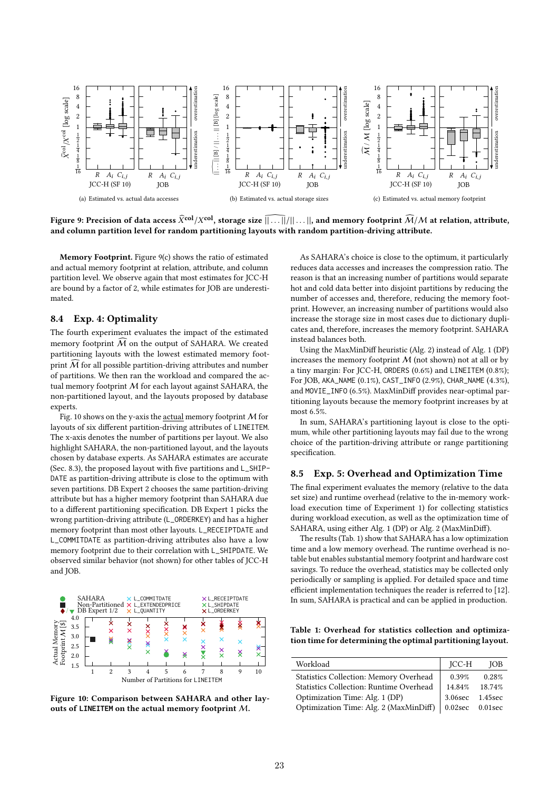

Figure 9: Precision of data access  $\widehat X^{\bf col}/X^{\bf col},$  storage size  $\widehat{||\ldots||}/||\ldots||,$  and memory footprint  $\widehat M/M$  at relation, attribute, and column partition level for random partitioning layouts with random partition-driving attribute.

Memory Footprint. Figure 9(c) shows the ratio of estimated and actual memory footprint at relation, attribute, and column partition level. We observe again that most estimates for JCC-H are bound by a factor of 2, while estimates for JOB are underestimated.

## 8.4 Exp. 4: Optimality

The fourth experiment evaluates the impact of the estimated memory footprint  $\widehat{M}$  on the output of SAHARA. We created partitioning layouts with the lowest estimated memory footprint  $\widehat{M}$  for all possible partition-driving attributes and number of partitions. We then ran the workload and compared the actual memory footprint  $M$  for each layout against SAHARA, the non-partitioned layout, and the layouts proposed by database experts.

Fig. 10 shows on the y-axis the actual memory footprint  $M$  for layouts of six different partition-driving attributes of LINEITEM. The x-axis denotes the number of partitions per layout. We also highlight SAHARA, the non-partitioned layout, and the layouts chosen by database experts. As SAHARA estimates are accurate (Sec. 8.3), the proposed layout with five partitions and L\_SHIP-DATE as partition-driving attribute is close to the optimum with seven partitions. DB Expert 2 chooses the same partition-driving attribute but has a higher memory footprint than SAHARA due to a different partitioning specification. DB Expert 1 picks the wrong partition-driving attribute (L\_ORDERKEY) and has a higher memory footprint than most other layouts. L\_RECEIPTDATE and L\_COMMITDATE as partition-driving attributes also have a low memory footprint due to their correlation with L\_SHIPDATE. We observed similar behavior (not shown) for other tables of JCC-H and JOB.



Figure 10: Comparison between SAHARA and other layouts of **LINEITEM** on the actual memory footprint M.

As SAHARA's choice is close to the optimum, it particularly reduces data accesses and increases the compression ratio. The reason is that an increasing number of partitions would separate hot and cold data better into disjoint partitions by reducing the number of accesses and, therefore, reducing the memory footprint. However, an increasing number of partitions would also increase the storage size in most cases due to dictionary duplicates and, therefore, increases the memory footprint. SAHARA instead balances both.

Using the MaxMinDiff heuristic (Alg. 2) instead of Alg. 1 (DP) increases the memory footprint  $M$  (not shown) not at all or by a tiny margin: For JCC-H, ORDERS (0.6%) and LINEITEM (0.8%); For JOB, AKA\_NAME (0.1%), CAST\_INFO (2.9%), CHAR\_NAME (4.3%), and MOVIE\_INFO (6.5%). MaxMinDiff provides near-optimal partitioning layouts because the memory footprint increases by at most 6.5%.

In sum, SAHARA's partitioning layout is close to the optimum, while other partitioning layouts may fail due to the wrong choice of the partition-driving attribute or range partitioning specification.

## 8.5 Exp. 5: Overhead and Optimization Time

The final experiment evaluates the memory (relative to the data set size) and runtime overhead (relative to the in-memory workload execution time of Experiment 1) for collecting statistics during workload execution, as well as the optimization time of SAHARA, using either Alg. 1 (DP) or Alg. 2 (MaxMinDiff).

The results (Tab. 1) show that SAHARA has a low optimization time and a low memory overhead. The runtime overhead is notable but enables substantial memory footprint and hardware cost savings. To reduce the overhead, statistics may be collected only periodically or sampling is applied. For detailed space and time efficient implementation techniques the reader is referred to [12]. In sum, SAHARA is practical and can be applied in production.

Table 1: Overhead for statistics collection and optimization time for determining the optimal partitioning layout.

| Workload                                | ICC-H           | <b>IOB</b> |
|-----------------------------------------|-----------------|------------|
| Statistics Collection: Memory Overhead  | 0.39%           | 0.28%      |
| Statistics Collection: Runtime Overhead | 14.84%          | 18.74%     |
| Optimization Time: Alg. 1 (DP)          | 3.06sec 1.45sec |            |
| Optimization Time: Alg. 2 (MaxMinDiff)  | 0.02sec 0.01sec |            |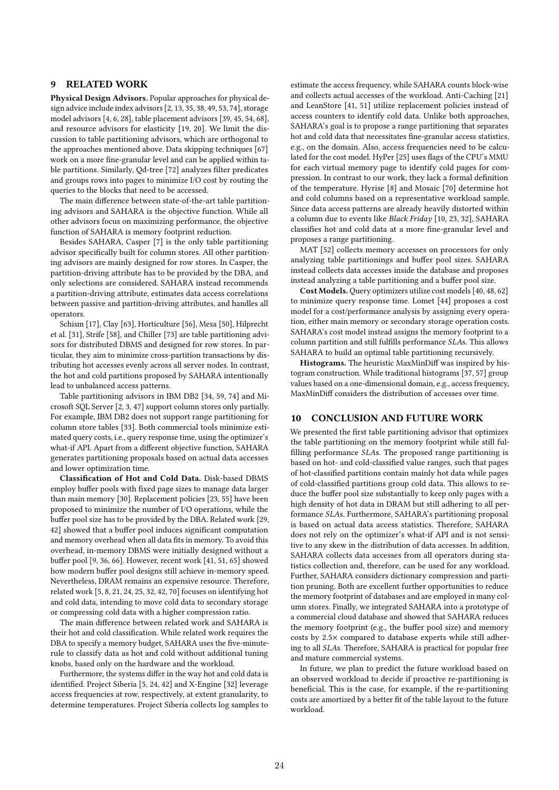# 9 RELATED WORK

Physical Design Advisors. Popular approaches for physical design advice include index advisors [2, 13, 35, 38, 49, 53, 74], storage model advisors [4, 6, 28], table placement advisors [39, 45, 54, 68], and resource advisors for elasticity [19, 20]. We limit the discussion to table partitioning advisors, which are orthogonal to the approaches mentioned above. Data skipping techniques [67] work on a more fine-granular level and can be applied within table partitions. Similarly, Qd-tree [72] analyzes filter predicates and groups rows into pages to minimize I/O cost by routing the queries to the blocks that need to be accessed.

The main difference between state-of-the-art table partitioning advisors and SAHARA is the objective function. While all other advisors focus on maximizing performance, the objective function of SAHARA is memory footprint reduction.

Besides SAHARA, Casper [7] is the only table partitioning advisor specifically built for column stores. All other partitioning advisors are mainly designed for row stores. In Casper, the partition-driving attribute has to be provided by the DBA, and only selections are considered. SAHARA instead recommends a partition-driving attribute, estimates data access correlations between passive and partition-driving attributes, and handles all operators.

Schism [17], Clay [63], Horticulture [56], Mesa [50], Hilprecht et al. [31], Strife [58], and Chiller [73] are table partitioning advisors for distributed DBMS and designed for row stores. In particular, they aim to minimize cross-partition transactions by distributing hot accesses evenly across all server nodes. In contrast, the hot and cold partitions proposed by SAHARA intentionally lead to unbalanced access patterns.

Table partitioning advisors in IBM DB2 [34, 59, 74] and Microsoft SQL Server [2, 3, 47] support column stores only partially. For example, IBM DB2 does not support range partitioning for column store tables [33]. Both commercial tools minimize estimated query costs, i.e., query response time, using the optimizer's what-if API. Apart from a different objective function, SAHARA generates partitioning proposals based on actual data accesses and lower optimization time.

Classification of Hot and Cold Data. Disk-based DBMS employ buffer pools with fixed page sizes to manage data larger than main memory [30]. Replacement policies [23, 55] have been proposed to minimize the number of I/O operations, while the buffer pool size has to be provided by the DBA. Related work [29, 42] showed that a buffer pool induces significant computation and memory overhead when all data fits in memory. To avoid this overhead, in-memory DBMS were initially designed without a buffer pool [9, 36, 66]. However, recent work [41, 51, 65] showed how modern buffer pool designs still achieve in-memory speed. Nevertheless, DRAM remains an expensive resource. Therefore, related work [5, 8, 21, 24, 25, 32, 42, 70] focuses on identifying hot and cold data, intending to move cold data to secondary storage or compressing cold data with a higher compression ratio.

The main difference between related work and SAHARA is their hot and cold classification. While related work requires the DBA to specify a memory budget, SAHARA uses the five-minuterule to classify data as hot and cold without additional tuning knobs, based only on the hardware and the workload.

Furthermore, the systems differ in the way hot and cold data is identified. Project Siberia [5, 24, 42] and X-Engine [32] leverage access frequencies at row, respectively, at extent granularity, to determine temperatures. Project Siberia collects log samples to

estimate the access frequency, while SAHARA counts block-wise and collects actual accesses of the workload. Anti-Caching [21] and LeanStore [41, 51] utilize replacement policies instead of access counters to identify cold data. Unlike both approaches, SAHARA's goal is to propose a range partitioning that separates hot and cold data that necessitates fine-granular access statistics, e.g., on the domain. Also, access frequencies need to be calculated for the cost model. HyPer [25] uses flags of the CPU's MMU for each virtual memory page to identify cold pages for compression. In contrast to our work, they lack a formal definition of the temperature. Hyrise [8] and Mosaic [70] determine hot and cold columns based on a representative workload sample. Since data access patterns are already heavily distorted within a column due to events like Black Friday [10, 23, 32], SAHARA classifies hot and cold data at a more fine-granular level and proposes a range partitioning.

MAT [52] collects memory accesses on processors for only analyzing table partitionings and buffer pool sizes. SAHARA instead collects data accesses inside the database and proposes instead analyzing a table partitioning and a buffer pool size.

Cost Models. Query optimizers utilize cost models [40, 48, 62] to minimize query response time. Lomet [44] proposes a cost model for a cost/performance analysis by assigning every operation, either main memory or secondary storage operation costs. SAHARA's cost model instead assigns the memory footprint to a column partition and still fulfills performance SLAs. This allows SAHARA to build an optimal table partitioning recursively.

Histograms. The heuristic MaxMinDiff was inspired by histogram construction. While traditional histograms [37, 57] group values based on a one-dimensional domain, e.g., access frequency, MaxMinDiff considers the distribution of accesses over time.

# 10 CONCLUSION AND FUTURE WORK

We presented the first table partitioning advisor that optimizes the table partitioning on the memory footprint while still fulfilling performance SLAs. The proposed range partitioning is based on hot- and cold-classified value ranges, such that pages of hot-classified partitions contain mainly hot data while pages of cold-classified partitions group cold data. This allows to reduce the buffer pool size substantially to keep only pages with a high density of hot data in DRAM but still adhering to all performance SLAs. Furthermore, SAHARA's partitioning proposal is based on actual data access statistics. Therefore, SAHARA does not rely on the optimizer's what-if API and is not sensitive to any skew in the distribution of data accesses. In addition, SAHARA collects data accesses from all operators during statistics collection and, therefore, can be used for any workload. Further, SAHARA considers dictionary compression and partition pruning. Both are excellent further opportunities to reduce the memory footprint of databases and are employed in many column stores. Finally, we integrated SAHARA into a prototype of a commercial cloud database and showed that SAHARA reduces the memory footprint (e.g., the buffer pool size) and memory costs by 2.5× compared to database experts while still adhering to all SLAs. Therefore, SAHARA is practical for popular free and mature commercial systems.

In future, we plan to predict the future workload based on an observed workload to decide if proactive re-partitioning is beneficial. This is the case, for example, if the re-partitioning costs are amortized by a better fit of the table layout to the future workload.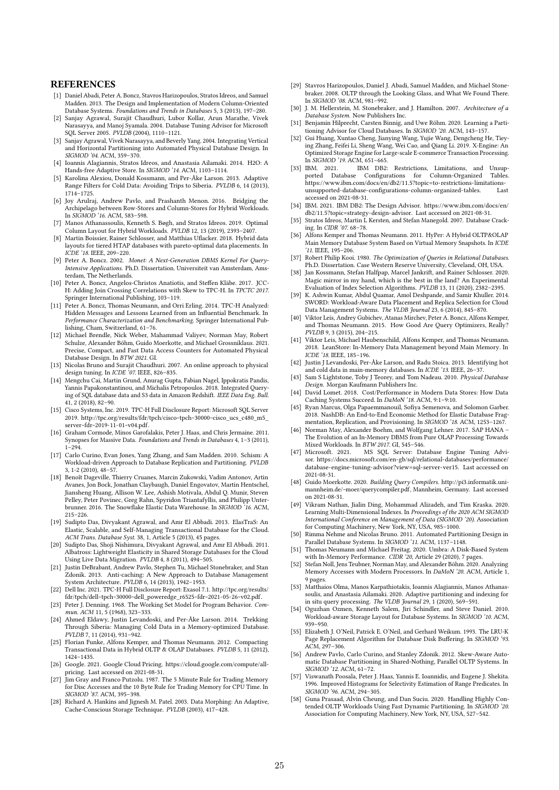#### **REFERENCES**

- [1] Daniel Abadi, Peter A. Boncz, Stavros Harizopoulos, Stratos Idreos, and Samuel Madden. 2013. The Design and Implementation of Modern Column-Oriented Database Systems. Foundations and Trends in Databases 5, 3 (2013), 197–280.
- [2] Sanjay Agrawal, Surajit Chaudhuri, Lubor Kollar, Arun Marathe, Vivek Narasayya, and Manoj Syamala. 2004. Database Tuning Advisor for Microsoft SQL Server 2005. PVLDB (2004), 1110–1121.
- [3] Sanjay Agrawal, Vivek Narasayya, and Beverly Yang. 2004. Integrating Vertical and Horizontal Partitioning into Automated Physical Database Design. In SIGMOD '04. ACM, 359–370.
- [4] Ioannis Alagiannis, Stratos Idreos, and Anastasia Ailamaki. 2014. H2O: A Hands-free Adaptive Store. In SIGMOD '14. ACM, 1103–1114.
- Karolina Alexiou, Donald Kossmann, and Per-Åke Larson. 2013. Adaptive Range Filters for Cold Data: Avoiding Trips to Siberia. PVLDB 6, 14 (2013), 1714–1725.
- [6] Joy Arulraj, Andrew Pavlo, and Prashanth Menon. 2016. Bridging the Archipelago between Row-Stores and Column-Stores for Hybrid Workloads. In SIGMOD '16. ACM, 583–598.
- [7] Manos Athanassoulis, Kenneth S. Bøgh, and Stratos Idreos. 2019. Optimal Column Layout for Hybrid Workloads. PVLDB 12, 13 (2019), 2393–2407.
- [8] Martin Boissier, Rainer Schlosser, and Matthias Uflacker. 2018. Hybrid data layouts for tiered HTAP databases with pareto-optimal data placements. In ICDE '18. IEEE, 209–220.
- [9] Peter A. Boncz. 2002. Monet: A Next-Generation DBMS Kernel For Query-Intensive Applications. Ph.D. Dissertation. Universiteit van Amsterdam, Amsterdam, The Netherlands.
- [10] Peter A. Boncz, Angelos-Christos Anatiotis, and Steffen Kläbe. 2017. JCC-H: Adding Join Crossing Correlations with Skew to TPC-H. In TPCTC 2017. Springer International Publishing, 103–119.
- [11] Peter A. Boncz, Thomas Neumann, and Orri Erling. 2014. TPC-H Analyzed: Hidden Messages and Lessons Learned from an Influential Benchmark. In Performance Characterization and Benchmarking. Springer International Publishing, Cham, Switzerland, 61–76.
- [12] Michael Brendle, Nick Weber, Mahammad Valiyev, Norman May, Robert Schulze, Alexander Böhm, Guido Moerkotte, and Michael Grossniklaus. 2021. Precise, Compact, and Fast Data Access Counters for Automated Physical Database Design. In BTW 2021. GI.
- [13] Nicolas Bruno and Surajit Chaudhuri. 2007. An online approach to physical design tuning. In ICDE '07. IEEE, 826–835.
- [14] Mengchu Cai, Martin Grund, Anurag Gupta, Fabian Nagel, Ippokratis Pandis, Yannis Papakonstantinou, and Michalis Petropoulos. 2018. Integrated Querying of SQL database data and S3 data in Amazon Redshift. IEEE Data Eng. Bull. 41, 2 (2018), 82–90.
- [15] Cisco Systems, Inc. 2019. TPC-H Full Disclosure Report: Microsoft SQL Server 2019. http://tpc.org/results/fdr/tpch/cisco~tpch~30000~cisco\_ucs\_c480\_m5\_ server~fdr~2019-11-01~v04.pdf.
- [16] Graham Cormode, Minos Garofalakis, Peter J. Haas, and Chris Jermaine. 2011. Synopses for Massive Data. Foundations and Trends in Databases 4, 1–3 (2011),  $1 - 294$
- [17] Carlo Curino, Evan Jones, Yang Zhang, and Sam Madden. 2010. Schism: A Workload-driven Approach to Database Replication and Partitioning. PVLDB 3, 1-2 (2010), 48–57.
- [18] Benoît Dageville, Thierry Cruanes, Marcin Zukowski, Vadim Antonov, Artin Avanes, Jon Bock, Jonathan Claybaugh, Daniel Engovatov, Martin Hentschel, Jiansheng Huang, Allison W. Lee, Ashish Motivala, Abdul Q. Munir, Steven Pelley, Peter Povinec, Greg Rahn, Spyridon Triantafyllis, and Philipp Unterbrunner. 2016. The Snowflake Elastic Data Warehouse. In SIGMOD '16. ACM, 215–226.
- [19] Sudipto Das, Divyakant Agrawal, and Amr El Abbadi. 2013. ElasTraS: An Elastic, Scalable, and Self-Managing Transactional Database for the Cloud. ACM Trans. Database Syst. 38, 1, Article 5 (2013), 45 pages.
- [20] Sudipto Das, Shoji Nishimura, Divyakant Agrawal, and Amr El Abbadi. 2011. Albatross: Lightweight Elasticity in Shared Storage Databases for the Cloud Using Live Data Migration. PVLDB 4, 8 (2011), 494–505.
- [21] Justin DeBrabant, Andrew Pavlo, Stephen Tu, Michael Stonebraker, and Stan Zdonik. 2013. Anti-caching: A New Approach to Database Management System Architecture. PVLDB 6, 14 (2013), 1942–1953.
- [22] Dell Inc. 2021. TPC-H Full Disclosure Report: Exasol 7.1. http://tpc.org/results/ fdr/tpch/dell~tpch~30000~dell\_poweredge\_r6525~fdr~2021-05-26~v02.pdf.
- [23] Peter J. Denning. 1968. The Working Set Model for Program Behavior. Commun. ACM 11, 5 (1968), 323–333. [24] Ahmed Eldawy, Justin Levandoski, and Per-Åke Larson. 2014. Trekking
- Through Siberia: Managing Cold Data in a Memory-optimized Database. PVLDB 7, 11 (2014), 931–942.
- [25] Florian Funke, Alfons Kemper, and Thomas Neumann. 2012. Compacting Transactional Data in Hybrid OLTP & OLAP Databases. PVLDB 5, 11 (2012), 1424–1435.
- [26] Google. 2021. Google Cloud Pricing. https://cloud.google.com/compute/allpricing. Last accessed on 2021-08-31.
- [27]  $\hat{J}$ im Gray and Franco Putzolu. 1987. The 5 Minute Rule for Trading Memory for Disc Accesses and the 10 Byte Rule for Trading Memory for CPU Time. In SIGMOD '87. ACM, 395–398.
- [28] Richard A. Hankins and Jignesh M. Patel. 2003. Data Morphing: An Adaptive, Cache-Conscious Storage Technique. PVLDB (2003), 417–428.
- [29] Stavros Harizopoulos, Daniel J. Abadi, Samuel Madden, and Michael Stonebraker. 2008. OLTP through the Looking Glass, and What We Found There. In SIGMOD '08. ACM, 981–992.
- [30] J. M. Hellerstein, M. Stonebraker, and J. Hamilton. 2007. Architecture of a Database System. Now Publishers Inc.
- [31] Benjamin Hilprecht, Carsten Binnig, and Uwe Röhm. 2020. Learning a Partitioning Advisor for Cloud Databases. In SIGMOD '20. ACM, 143–157.
- [32] Gui Huang, Xuntao Cheng, Jianying Wang, Yujie Wang, Dengcheng He, Tieying Zhang, Feifei Li, Sheng Wang, Wei Cao, and Qiang Li. 2019. X-Engine: An Optimized Storage Engine for Large-scale E-commerce Transaction Processing. In SIGMOD '19. ACM, 651-665.<br>[33] IBM. 2021. IBM DB2:
- IBM DB2: Restrictions, Limitations, and Unsupported Database Configurations for Column-Organized Tables. https://www.ibm.com/docs/en/db2/11.5?topic=to-restrictions-limitationsunsupported-database-configurations-column-organized-tables. Last accessed on 2021-08-31.
- [34] IBM. 2021. IBM DB2: The Design Advisor. https://www.ibm.com/docs/en/ db2/11.5?topic=strategy-design-advisor. Last accessed on 2021-08-31.
- [35] Stratos Idreos, Martin L Kersten, and Stefan Manegold. 2007. Database Cracking. In CIDR '07. 68–78.
- [36] Alfons Kemper and Thomas Neumann. 2011. HyPer: A Hybrid OLTP&OLAP Main Memory Database System Based on Virtual Memory Snapshots. In ICDE '11. IEEE, 195–206.
- Robert Philip Kooi. 1980. The Optimization of Queries in Relational Databases. Ph.D. Dissertation. Case Western Reserve University, Cleveland, OH, USA.
- [38] Jan Kossmann, Stefan Halfpap, Marcel Jankrift, and Rainer Schlosser. 2020. Magic mirror in my hand, which is the best in the land? An Experimental Evaluation of Index Selection Algorithms. PVLDB 13, 11 (2020), 2382–2395.
- [39] K. Ashwin Kumar, Abdul Quamar, Amol Deshpande, and Samir Khuller. 2014. SWORD: Workload-Aware Data Placement and Replica Selection for Cloud Data Management Systems. The VLDB Journal 23, 6 (2014), 845–870.
- [40] Viktor Leis, Andrey Gubichev, Atanas Mirchev, Peter A. Boncz, Alfons Kemper, and Thomas Neumann. 2015. How Good Are Query Optimizers, Really? PVLDB 9, 3 (2015), 204–215.
- [41] Viktor Leis, Michael Haubenschild, Alfons Kemper, and Thomas Neumann. 2018. LeanStore: In-Memory Data Management beyond Main Memory. In ICDE '18. IEEE, 185–196.
- [42] Justin J Levandoski, Per-Åke Larson, and Radu Stoica. 2013. Identifying hot and cold data in main-memory databases. In ICDE '13. IEEE, 26–37.
- [43] Sam S Lightstone, Toby J Teorey, and Tom Nadeau. 2010. Physical Database Design. Morgan Kaufmann Publishers Inc. [44] David Lomet. 2018. Cost/Performance in Modern Data Stores: How Data
- Caching Systems Succeed. In DaMoN '18. ACM, 9:1–9:10.
- [45] Ryan Marcus, Olga Papaemmanouil, Sofiya Semenova, and Solomon Garber. 2018. NashDB: An End-to-End Economic Method for Elastic Database Fragmentation, Replication, and Provisioning. In SIGMOD '18. ACM, 1253–1267.
- [46] Norman May, Alexander Boehm, and Wolfgang Lehner. 2017. SAP HANA -The Evolution of an In-Memory DBMS from Pure OLAP Processing Towards Mixed Workloads. In BTW 2017. GI, 545–546.
- [47] Microsoft. 2021. MS SQL Server: Database Engine Tuning Advisor. https://docs.microsoft.com/en-gb/sql/relational-databases/performance/ database-engine-tuning-advisor?view=sql-server-ver15. Last accessed on 2021-08-31.
- [48] Guido Moerkotte. 2020. Building Query Compilers. http://pi3.informatik.unimannheim.de/~moer/querycompiler.pdf, Mannheim, Germany. Last accessed on 2021-08-31.
- [49] Vikram Nathan, Jialin Ding, Mohammad Alizadeh, and Tim Kraska. 2020. Learning Multi-Dimensional Indexes. In Proceedings of the 2020 ACM SIGMOD International Conference on Management of Data (SIGMOD '20). Association for Computing Machinery, New York, NY, USA, 985–1000.
- [50] Rimma Nehme and Nicolas Bruno. 2011. Automated Partitioning Design in Parallel Database Systems. In SIGMOD '11. ACM, 1137–1148.
- [51] Thomas Neumann and Michael Freitag. 2020. Umbra: A Disk-Based System with In-Memory Performance. CIDR '20, Article 29 (2020), 7 pages.
- [52] Stefan Noll, Jens Teubner, Norman May, and Alexander Böhm. 2020. Analyzing Memory Accesses with Modern Processors. In DaMoN '20. ACM, Article 1, 9 pages.
- Matthaios Olma, Manos Karpathiotakis, Ioannis Alagiannis, Manos Athanassoulis, and Anastasia Ailamaki. 2020. Adaptive partitioning and indexing for in situ query processing. The VLDB Journal 29, 1 (2020), 569–591.
- [54] Oguzhan Ozmen, Kenneth Salem, Jiri Schindler, and Steve Daniel. 2010. Workload-aware Storage Layout for Database Systems. In SIGMOD '10. ACM, 939–950.
- [55] Elizabeth J. O'Neil, Patrick E. O'Neil, and Gerhard Weikum. 1993. The LRU-K Page Replacement Algorithm for Database Disk Buffering. In SIGMOD '93. ACM, 297–306.
- [56] Andrew Pavlo, Carlo Curino, and Stanley Zdonik. 2012. Skew-Aware Automatic Database Partitioning in Shared-Nothing, Parallel OLTP Systems. In SIGMOD '12. ACM, 61–72.
- Viswanath Poosala, Peter J. Haas, Yannis E. Ioannidis, and Eugene J. Shekita. 1996. Improved Histograms for Selectivity Estimation of Range Predicates. In SIGMOD '96. ACM, 294–305.
- [58] Guna Prasaad, Alvin Cheung, and Dan Suciu. 2020. Handling Highly Contended OLTP Workloads Using Fast Dynamic Partitioning. In SIGMOD '20. Association for Computing Machinery, New York, NY, USA, 527–542.